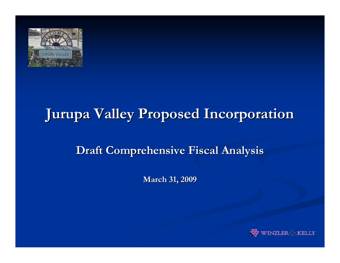

# **Jurupa Valley Proposed Incorporation Jurupa Valley Proposed Incorporation**

#### **Draft Comprehensive Fiscal Analysis Draft Comprehensive Fiscal Analysis**

**March 31, 2009 March 31, 2009**

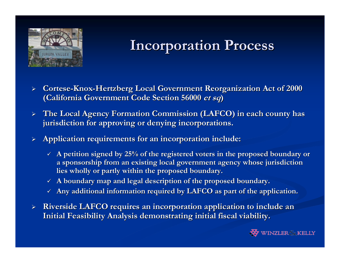

# **Incorporation Process Incorporation Process**

- $\blacktriangleright$  $\triangleright$   $\,$  Cortese-Knox-Hertzberg Local Government Reorganization Act of 2000  $\,$ **(California Government Code Section 56000 et sq)**
- ¾ **The Local Agency Formation Commission (LAFCO) in each county has The Local Agency Formation Commission (LAFCO) in each county has jurisdiction for approving or denying incorporations. jurisdiction for approving or denying incorporations.**
- ¾ **Application requirements for an incorporation include: Application requirements for an incorporation include:**
	- $\checkmark$  A petition signed by 25% of the registered voters in the proposed boundary or **a sponsorship from an existing lo a sponsorship from an existing local government agency whose jur cal government agency whose jurisdiction isdiction**  lies wholly or partly within the proposed boundary.
	- $\checkmark$   $\;$  A boundary map and legal description of the proposed boundary.
	- $\checkmark$  Any additional information required by LAFCO as part of the application.
- $\blacktriangleright$ **Riverside LAFCO requires an incorporation application to include an Initial Feasibility Analysis demonstrating initial fiscal viabil Initial Feasibility Analysis demonstrating initial fiscal viability.**

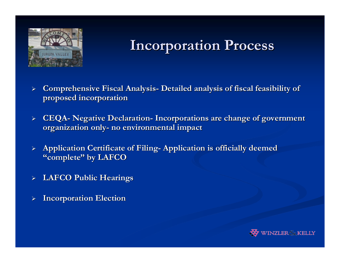

# **Incorporation Process Incorporation Process**

- $\blacktriangleright$  **Comprehensive Fiscal Analysis Comprehensive Fiscal Analysis - Detailed analysis of fiscal feasibility of Detailed analysis of fiscal feasibility of proposed incorporation proposed incorporation**
- $\blacktriangleright$  **CEQA - Negative Declaration Negative Declaration - Incorporations are change of government Incorporations are change of government organization only organization only- no environmental impact no environmental impact**
- ¾**Application Certificate of Filing-Application is officially deemed "complete complete " by LAFCO by LAFCO**
- ¾**LAFCO Public Hearings LAFCO Public Hearings**
- ¾**Incorporation Election Incorporation Election**

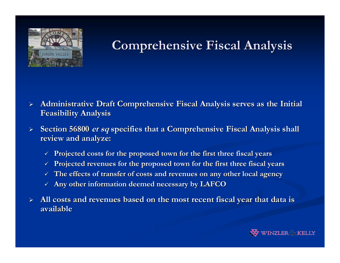

# **Comprehensive Fiscal Analysis Comprehensive Fiscal Analysis**

- $\blacktriangleright$  **Administrative Draft Comprehensive Administrative Draft Comprehensive Fiscal Analysis serves as the Fiscal Analysis serves as the Initial Initial Feasibility Analysis Feasibility Analysis**
- $\blacktriangleright$ **Section 56800 et sq specifies that a Comprehensive Fiscal Analysis shall review and analyze: review and analyze:**
	- 9 **Projected costs for the proposed Projected costs for the proposed town for the first three fiscal town for the first three fiscal years**
	- $\checkmark$  Projected revenues for the proposed town for the first three fiscal years
	- 9 **The effects of transfer of cost The effects of transfer of costs and revenues on any other local s and revenues on any other local agency**
	- $\checkmark$   $\;$  Any other information deemed necessary by LAFCO
- ¾All costs and revenues based on the most recent fiscal year that data is **available available**

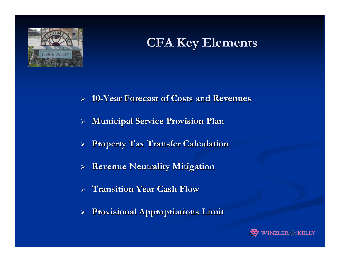

## **CFA Key Elements CFA Key Elements**

- $\blacktriangleright$ **10 -Year Forecast of Costs and Revenues Year Forecast of Costs and Revenues**
- $\blacktriangleright$ **Municipal Service Provision Plan Municipal Service Provision Plan**
- ¾**Property Tax Transfer Calculation Property Tax Transfer Calculation**
- $\blacktriangleright$ **Revenue Neutrality Mitigation**
- $\blacktriangleright$ **Transition Year Cash Flow**
- ¾**Provisional Appropriations Limit Provisional Appropriations Limit**

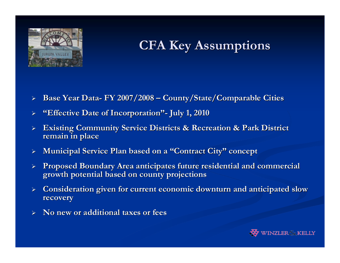

# **CFA Key Assumptions CFA Key Assumptions**

- $\blacktriangleright$  **Base Year Data Base Year Data - FY 2007/2008 FY 2007/2008 –County/State/Comparable Cities County/State/Comparable Cities**
- ¾**"Effective Date of Incorporation Effective Date of Incorporation "- July 1, 2010 July 1, 2010**
- $\blacktriangleright$ **Existing Community Service Districts & Recreation & Park District remain in place remain in place**
- $\blacktriangleright$  $\triangleright$  Municipal Service Plan based on a "Contract City" concept
- ¾**Proposed Boundary Area anticipates future residential and commercial growth potential based on county projections growth potential based on county projections**
- ¾**Consideration given for current economic downturn and anticipated slow recovery recovery**
- ¾**No new or additional taxes or fees No new or additional taxes or fees**

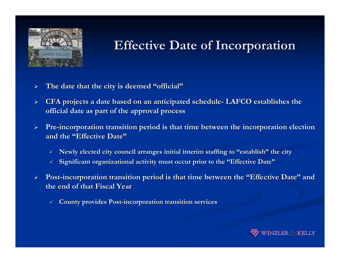

## **Effective Date of Incorporation Effective Date of Incorporation**

- $\blacktriangleright$ **The date that the city is deemed The date that the city is deemed "official official"**
- $\blacktriangleright$  **CFA projects a date based on an anticipated schedule CFA projects a date based on an anticipated schedule - LAFCO establishes the LAFCO establishes the official date as part of the approval process official date as part of the approval process**
- $\blacktriangleright$  $\triangleright$  Pre-incorporation transition period is that time between the incorporation election **and the and the "Effective Date Effective Date"**
	- $\times$  Newly elected city council arranges initial interim staffing to "establish" the city
	- $\checkmark$  $\times$  Significant organizational activity must occur prior to the "Effective Date"
- $\blacktriangleright$  **Post -incorporation transition period incorporation transition period is that time between the is that time between the "Effective Date Effective Date " and the end of that Fiscal Year the end of that Fiscal Year**
	- $\checkmark$ **County provides Post County provides Post-incorporation transition services incorporation transition services**

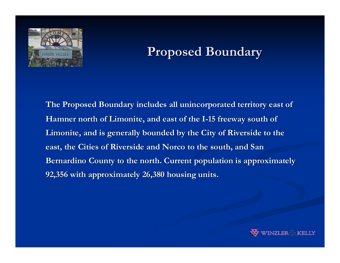

#### **Proposed Boundary Proposed Boundary**

**The Proposed Boundary includes all unincorporated territory east of Hamner north of Limonite, and east of the I-15 freeway south of** Limonite, and is generally bounded by the City of Riverside to the east, the Cities of Riverside and Norco to the south, and San **Bernardino County to the north. Current population is approximately 92,356 with approximately 26,380 housing units. 92,356 with approximately 26,380 housing units.** 

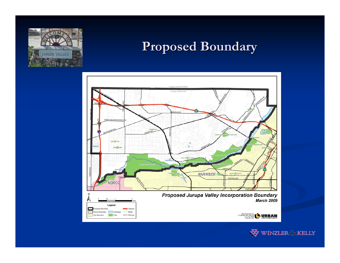

#### **Proposed Boundary Proposed Boundary**



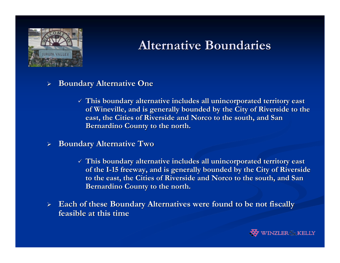

### **Alternative Boundaries Alternative Boundaries**

- ¾ **Boundary Alternative One Boundary Alternative One**
	- $\checkmark$  This boundary alternative includes all unincorporated territory east  $\checkmark$ of Wineville, and is generally bounded by the City of Riverside to the east, the Cities of Riverside and Norco to the south, and San **Bernardino County to the north.**
- $\blacktriangleright$  **Boundary Alternative Two Boundary Alternative Two**
	- $\checkmark$  This boundary alternative includes all unincorporated territory east  $\checkmark$ **of the I of the I -15 freeway, and is generally bounded by the City of Riverside 15 freeway, and is generally bounded by the City of Riverside to the east, the Cities of Riverside and Norco to the south, and San** *i* **Bernardino County to the north.**
- $\blacktriangleright$ **Each of these Boundary Alternatives were found to be not fiscally feasible at this time feasible at this time**

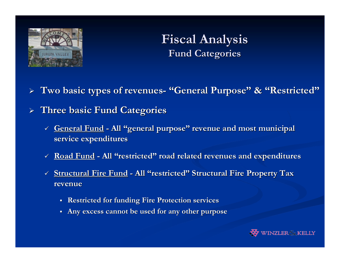

## **Fiscal Analysis Fiscal Analysis Fund Categories Fund Categories**

¾ **Two basic types of revenues Two basic types of revenues- "General Purpose General Purpose" & "Restricted Restricted"**

- ¾ **Three basic Fund Categories Three basic Fund Categories**
	- 9 **General Fund General Fund - All "general purpose general purpose" revenue and most municipal revenue and most municipal service expenditures service expenditures**
	- 9 **Road Fund Road Fund - All "restricted restricted" road related revenues and expenditures road related revenues and expenditures**
	- 9 **Structural Fire Fund Structural Fire Fund - All "restricted restricted" Structural Fire Property Tax Structural Fire Property Tax revenue revenue**
		- **Restricted for funding Fire Protection services**
		- **Any excess cannot be used for any other purpose Any excess cannot be used for any other purpose**

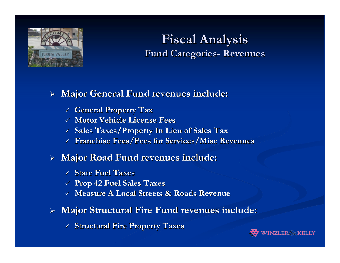

#### **Fiscal Analysis Fiscal Analysis Fund Categories Fund Categories- Revenues Revenues**

#### ¾ **Major General Fund revenues include: Major General Fund revenues include:**

- 9 **General Property Tax General Property Tax**
- 9 **Motor Vehicle License Fees Motor Vehicle License Fees**
- 9 **Sales Taxes/Property In Lieu of Sales Tax Sales Taxes/Property In Lieu of Sales Tax**
- 9 **Franchise Fees/Fees for Services/Misc Revenues Franchise Fees/Fees for Services/Misc Revenues**

#### ¾ **Major Road Fund revenues include: Major Road Fund revenues include:**

- 9 **State Fuel Taxes State Fuel Taxes**
- 9 **Prop 42 Fuel Sales Taxes Prop 42 Fuel Sales Taxes**
- $\checkmark$  Measure A Local Streets & Roads Revenue  $\checkmark$
- ¾ **Major Structural Fire Fund revenues include: Major Structural Fire Fund revenues include:**
	- 9 **Structural Fire Property Taxes Structural Fire Property Taxes**

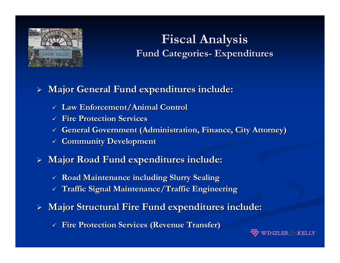

## **Fiscal Analysis Fiscal Analysis Fund Categories Fund Categories- Expenditures Expenditures**

#### ¾ **Major General Fund expenditures include: Major General Fund expenditures include:**

- 9 **Law Enforcement/Animal Control Law Enforcement/Animal Control**
- 9 **Fire Protection Services Fire Protection Services**
- $\checkmark$  General Government (Administration, Finance, City Attorney)  $\checkmark$
- 9 **Community Development Community Development**
- ¾ **Major Road Fund expenditures include: Major Road Fund expenditures include:**
	- 9 **Road Maintenance including Slurry Sealing Road Maintenance including Slurry Sealing**
	- 9 **Traffic Signal Maintenance/Traffic Engineering Traffic Signal Maintenance/Traffic Engineering**
- ¾ **Major Structural Fire Fund expenditures include: Major Structural Fire Fund expenditures include:**
	- 9 **Fire Protection Services (Revenue Transfer) Fire Protection Services (Revenue**

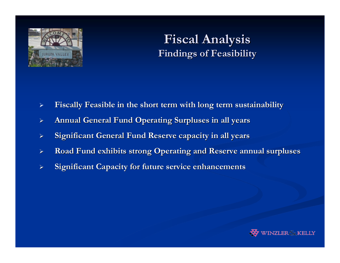

### **Fiscal Analysis Fiscal Analysis Findings of Feasibility Findings of Feasibility**

- $\blacktriangleright$ Fiscally Feasible in the short term with long term sustainability
- $\blacktriangleright$ **Annual General Fund Operating Surpluses in all years**
- $\blacktriangleright$ **Significant General Fund Reserve capacity in all years**
- $\blacktriangleright$ **Road Fund exhibits strong Operating and Reserve annual surpluses**
- $\blacktriangleright$ **Significant Capacity for future service enhancements**

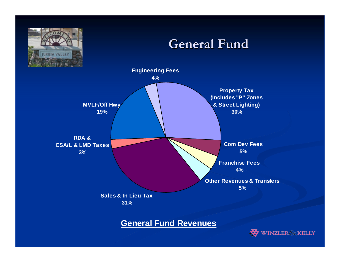

**General Fund Revenues**

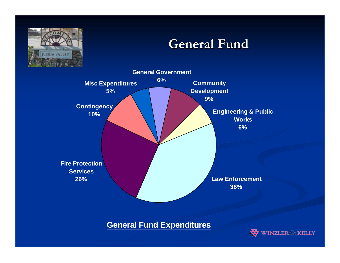

#### **General Fund General Fund**



#### **General Fund Expenditures**

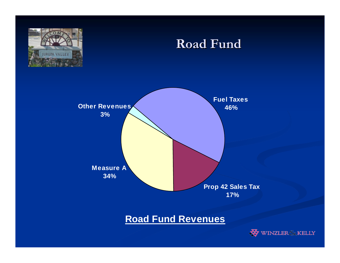

#### **Road Fund Road Fund**



#### **Road Fund Revenues**

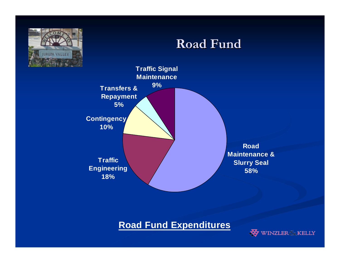

#### **Road Fund Road Fund**



#### **Road Fund Expenditures**

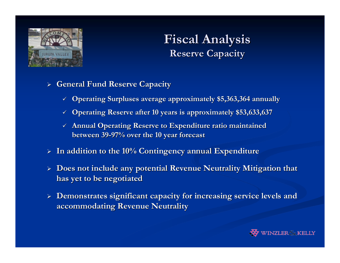

## **Fiscal Analysis Fiscal Analysis Reserve Capacity Reserve Capacity**

- ¾ **General Fund Reserve Capacity General Fund Reserve Capacity**
	- $\checkmark$  Operating Surpluses average approximately \$5,363,364 annually
	- $\checkmark$  Operating Reserve after 10 years is approximately \$53,633,637
	- $\checkmark$  Annual Operating Reserve to Expenditure ratio maintained **between 39 between 39-97% over the 10 year forecast 97% over the 10 year forecast**
- ¾ **In addition to the 10% Contingency annual Expenditure In addition to the 10% Contingency annual Expenditure**
- $\triangleright$  Does not include any potential Revenue Neutrality Mitigation that **has yet to be negotiated has yet to be negotiated**
- ¾ **Demonstrates significant capacity Demonstrates significant capacity for increasing service levels for increasing service levels and accommodating Revenue Neutrality accommodating Revenue Neutrality**

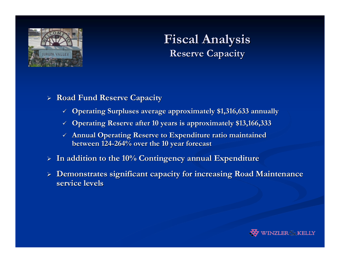

## **Fiscal Analysis Fiscal Analysis Reserve Capacity Reserve Capacity**

- ¾ **Road Fund Reserve Capacity Road Fund Reserve Capacity**
	- 9 **Operating Surpluses average approximately \$1,316,633 annually Operating Surpluses average approximately \$1,316,633 annually**
	- 9 **Operating Reserve after 10 years Operating Reserve after 10 years is approximately \$13,166,333 is approximately \$13,166,333**
	- $\checkmark$  Annual Operating Reserve to Expenditure ratio maintained **between 124 between 124-264% over the 10 year forecast 264% over the 10 year forecast**
- ¾ **In addition to the 10% Contingency annual Expenditure In addition to the 10% Contingency annual Expenditure**
- ¾ **Demonstrates significant capacity Demonstrates significant capacity for increasing Road Maintenanc for increasing Road Maintenance service levels service levels**

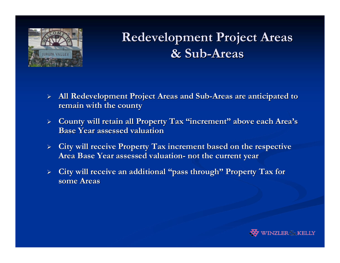

# **Redevelopment Project Areas & Sub -Areas**

- $\blacktriangleright$  **All Redevelopment Project Areas and Sub All Redevelopment Project Areas and Sub -Areas are anticipated to Areas are anticipated to remain with the county remain with the county**
- ¾ **County will retain all Property Tax County will retain all Property Tax "increment increment " above each Area's Base Year assessed valuation Base Year assessed valuation**
- ¾**City will receive Property Tax increment based on the respective Area Base Year assessed valuation Area Base Year assessed valuation - not the current year not the current year**
- ¾ **City will receive an additional City will receive an additional "pass through pass through " Property Tax for Property Tax for some Areas some Areas**

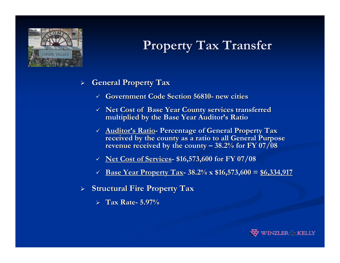

# **Property Tax Transfer Property Tax Transfer**

- $\blacktriangleright$  **General Property Tax General Property Tax**
	- $\checkmark$ **Government Code Section 56810 Government Code Section 56810 - new cities new cities**
	- $\checkmark$  Net Cost of Base Year County services transferred **multiplied by the Base Year Auditor multiplied by the Base Year Auditor's Ratio s Ratio**
	- $\checkmark$  Auditor's Ratio- Percentage of General Property Tax received by the county as a ratio to all General Purpose **revenue received by the county revenue received by the county – 38.2% for FY 07/08 38.2% for FY 07/08**
	- 9 **Net Cost of Services Net Cost of Services - \$16,573,600 for FY 07/08 \$16,573,600 for FY 07/08**
	- $\checkmark$ **Base Year Property Tax Base Year Property Tax - 38.2% x \$16,573,600 = 38.2% x \$16,573,600 = \$6,334,917 \$6,334,917**
- ¾ **Structural Fire Property Tax Structural Fire Property Tax**
	- ¾ **Tax Rate Tax Rate - 5.97%**

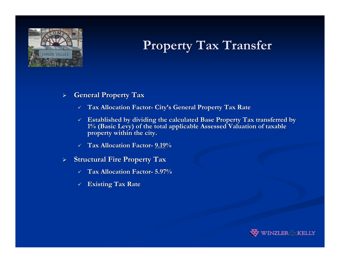

# **Property Tax Transfer Property Tax Transfer**

- $\blacktriangleright$  **General Property Tax General Property Tax**
	- $\checkmark$ **Tax Allocation Factor- City's General Property Tax Rate**
	- $\checkmark$  Established by dividing the calculated Base Property Tax transferred by **1% (Basic Levy) of the total a 1% (Basic Levy) of the total applicable Assessed Valuation of ta pplicable Assessed Valuation of taxable property within the city. property within the city.**
	- 9 **Tax Allocation Factor Tax Allocation Factor- 9.19 %**
- $\blacktriangleright$ **Structural Fire Property Tax** 
	- $\checkmark$ **Tax Allocation Factor Tax Allocation Factor- 5.97%**
	- 9 **Existing Tax Rate Existing Tax Rate**

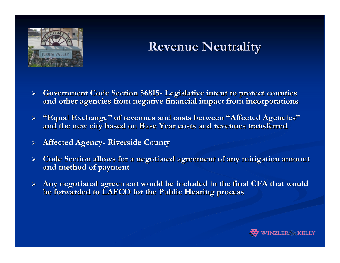

## **Revenue Neutrality Revenue Neutrality**

- $\blacktriangleright$  **Government Code Section 56815 Government Code Section 56815 - Legislative intent to protect counties Legislative intent to protect counties**  and other agencies from negative financial impact from incorporations
- $\blacktriangleright$ **"Equal Exchange" of revenues and costs between <b>"Affected Agencies"** and the new city based on Base Year costs and revenues transferred
- ¾**Affected Agency- Riverside County**
- $\blacktriangleright$  **Code Section allows for a negoti Code Section allows for a negotiated agreement of any mitigation ated agreement of any mitigation amount and method of payment and method of payment**
- ¾Any negotiated agreement would be included in the final CFA that would **be forwarded to LAFCO for the Public Hearing process be forwarded to LAFCO for the Public Hearing process**

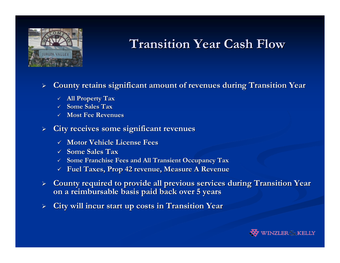

# **Transition Year Cash Flow Transition Year Cash Flow**

 $\blacktriangleright$ **County retains significant amount of revenues during Transition County retains significant amount of revenues during Transition Year**

- 9 **All Property Tax All Property Tax**
- $\checkmark$ **Some Sales Tax Some Sales Tax**
- 9 **Most Fee Revenues Most Fee Revenues**

#### $\blacktriangleright$ **City receives some significant revenues City receives some significant revenues**

- 9 **Motor Vehicle License Fees Motor Vehicle License Fees**
- 9 **Some Sales Tax Some Sales Tax**
- 9 **Some Franchise Fees and All Transient Occupancy Tax Some Franchise Fees and All Transient Occupancy Tax**
- 9 **Fuel Taxes, Prop 42 revenue, Measure A Revenue Fuel Taxes, Prop 42 revenue, Measure A Revenue**
- $\triangleright$  County required to provide all previous services during Transition Year **on a reimbursable basis paid back over 5 years on a reimbursable basis paid back over 5 years**
- $\blacktriangleright$ **City will incur start up costs in Transition Year**

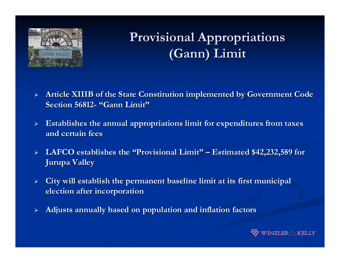

# **Provisional Appropriations Provisional Appropriations (Gann) Limit (Gann) Limit**

- $\blacktriangleright$ **Article XIIIB of the State Constitution implemented by Government Code Section 56812 Section 56812-"Gann Limit Gann Limit"**
- $\blacktriangleright$ **Establishes the annual appropriations limit for expenditures from taxes and certain fees and certain fees**
- ¾ **LAFCO establishes the LAFCO establishes the "Provisional Limit Provisional Limit " – Estimated \$42,232,589 for Estimated \$42,232,589 for Jurupa Valley Jurupa Valley**
- ¾**City will establish the permanent baseline limit at its first municipal election after incorporation election after incorporation**
- ¾**Adjusts annually based on population and inflation factors Adjusts annually based on population and inflation factors**